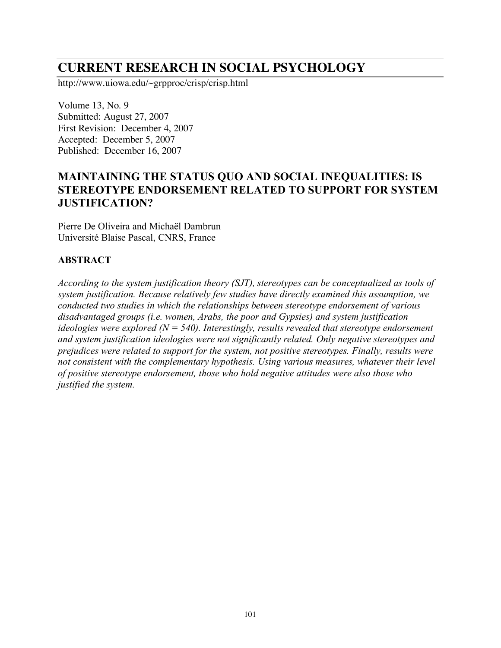# **CURRENT RESEARCH IN SOCIAL PSYCHOLOGY**

http://www.uiowa.edu/~grpproc/crisp/crisp.html

Volume 13, No. 9 Submitted: August 27, 2007 First Revision: December 4, 2007 Accepted: December 5, 2007 Published: December 16, 2007

# **MAINTAINING THE STATUS QUO AND SOCIAL INEQUALITIES: IS STEREOTYPE ENDORSEMENT RELATED TO SUPPORT FOR SYSTEM JUSTIFICATION?**

Pierre De Oliveira and Michaël Dambrun Université Blaise Pascal, CNRS, France

#### **ABSTRACT**

*According to the system justification theory (SJT), stereotypes can be conceptualized as tools of system justification. Because relatively few studies have directly examined this assumption, we conducted two studies in which the relationships between stereotype endorsement of various disadvantaged groups (i.e. women, Arabs, the poor and Gypsies) and system justification ideologies were explored (N = 540). Interestingly, results revealed that stereotype endorsement and system justification ideologies were not significantly related. Only negative stereotypes and prejudices were related to support for the system, not positive stereotypes. Finally, results were not consistent with the complementary hypothesis. Using various measures, whatever their level of positive stereotype endorsement, those who hold negative attitudes were also those who justified the system.*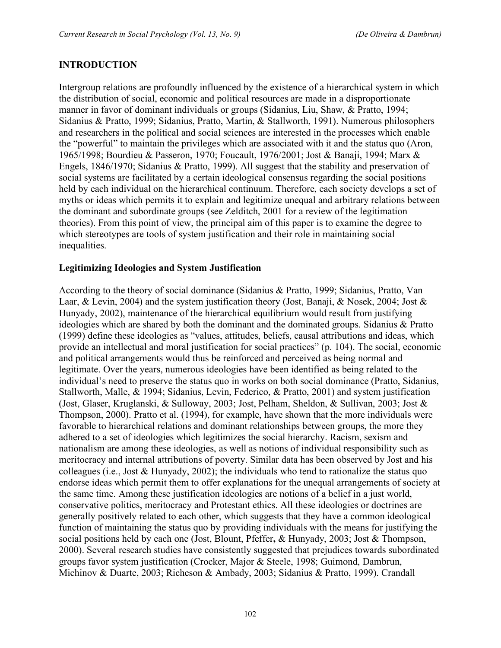#### **INTRODUCTION**

Intergroup relations are profoundly influenced by the existence of a hierarchical system in which the distribution of social, economic and political resources are made in a disproportionate manner in favor of dominant individuals or groups (Sidanius, Liu, Shaw, & Pratto, 1994; Sidanius & Pratto, 1999; Sidanius, Pratto, Martin, & Stallworth, 1991). Numerous philosophers and researchers in the political and social sciences are interested in the processes which enable the "powerful" to maintain the privileges which are associated with it and the status quo (Aron, 1965/1998; Bourdieu & Passeron, 1970; Foucault, 1976/2001; Jost & Banaji, 1994; Marx & Engels, 1846/1970; Sidanius & Pratto, 1999). All suggest that the stability and preservation of social systems are facilitated by a certain ideological consensus regarding the social positions held by each individual on the hierarchical continuum. Therefore, each society develops a set of myths or ideas which permits it to explain and legitimize unequal and arbitrary relations between the dominant and subordinate groups (see Zelditch, 2001 for a review of the legitimation theories). From this point of view, the principal aim of this paper is to examine the degree to which stereotypes are tools of system justification and their role in maintaining social inequalities.

#### **Legitimizing Ideologies and System Justification**

According to the theory of social dominance (Sidanius & Pratto, 1999; Sidanius, Pratto, Van Laar, & Levin, 2004) and the system justification theory (Jost, Banaji, & Nosek, 2004; Jost & Hunyady, 2002), maintenance of the hierarchical equilibrium would result from justifying ideologies which are shared by both the dominant and the dominated groups. Sidanius & Pratto (1999) define these ideologies as "values, attitudes, beliefs, causal attributions and ideas, which provide an intellectual and moral justification for social practices" (p. 104). The social, economic and political arrangements would thus be reinforced and perceived as being normal and legitimate. Over the years, numerous ideologies have been identified as being related to the individual's need to preserve the status quo in works on both social dominance (Pratto, Sidanius, Stallworth, Malle, & 1994; Sidanius, Levin, Federico, & Pratto, 2001) and system justification (Jost, Glaser, Kruglanski, & Sulloway, 2003; Jost, Pelham, Sheldon, & Sullivan, 2003; Jost & Thompson, 2000). Pratto et al. (1994), for example, have shown that the more individuals were favorable to hierarchical relations and dominant relationships between groups, the more they adhered to a set of ideologies which legitimizes the social hierarchy. Racism, sexism and nationalism are among these ideologies, as well as notions of individual responsibility such as meritocracy and internal attributions of poverty. Similar data has been observed by Jost and his colleagues (i.e., Jost & Hunyady, 2002); the individuals who tend to rationalize the status quo endorse ideas which permit them to offer explanations for the unequal arrangements of society at the same time. Among these justification ideologies are notions of a belief in a just world, conservative politics, meritocracy and Protestant ethics. All these ideologies or doctrines are generally positively related to each other, which suggests that they have a common ideological function of maintaining the status quo by providing individuals with the means for justifying the social positions held by each one (Jost, Blount, Pfeffer**,** & Hunyady, 2003; Jost & Thompson, 2000). Several research studies have consistently suggested that prejudices towards subordinated groups favor system justification (Crocker, Major & Steele, 1998; Guimond, Dambrun, Michinov & Duarte, 2003; Richeson & Ambady, 2003; Sidanius & Pratto, 1999). Crandall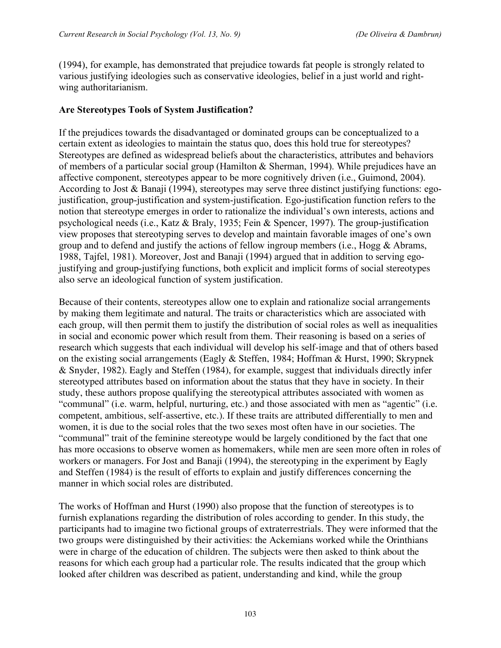(1994), for example, has demonstrated that prejudice towards fat people is strongly related to various justifying ideologies such as conservative ideologies, belief in a just world and rightwing authoritarianism.

#### **Are Stereotypes Tools of System Justification?**

If the prejudices towards the disadvantaged or dominated groups can be conceptualized to a certain extent as ideologies to maintain the status quo, does this hold true for stereotypes? Stereotypes are defined as widespread beliefs about the characteristics, attributes and behaviors of members of a particular social group (Hamilton & Sherman, 1994). While prejudices have an affective component, stereotypes appear to be more cognitively driven (i.e., Guimond, 2004). According to Jost & Banaji (1994), stereotypes may serve three distinct justifying functions: egojustification, group-justification and system-justification. Ego-justification function refers to the notion that stereotype emerges in order to rationalize the individual's own interests, actions and psychological needs (i.e., Katz & Braly, 1935; Fein & Spencer, 1997). The group-justification view proposes that stereotyping serves to develop and maintain favorable images of one's own group and to defend and justify the actions of fellow ingroup members (i.e., Hogg & Abrams, 1988, Tajfel, 1981). Moreover, Jost and Banaji (1994) argued that in addition to serving egojustifying and group-justifying functions, both explicit and implicit forms of social stereotypes also serve an ideological function of system justification.

Because of their contents, stereotypes allow one to explain and rationalize social arrangements by making them legitimate and natural. The traits or characteristics which are associated with each group, will then permit them to justify the distribution of social roles as well as inequalities in social and economic power which result from them. Their reasoning is based on a series of research which suggests that each individual will develop his self-image and that of others based on the existing social arrangements (Eagly & Steffen, 1984; Hoffman & Hurst, 1990; Skrypnek & Snyder, 1982). Eagly and Steffen (1984), for example, suggest that individuals directly infer stereotyped attributes based on information about the status that they have in society. In their study, these authors propose qualifying the stereotypical attributes associated with women as "communal" (i.e. warm, helpful, nurturing, etc.) and those associated with men as "agentic" (i.e. competent, ambitious, self-assertive, etc.). If these traits are attributed differentially to men and women, it is due to the social roles that the two sexes most often have in our societies. The "communal" trait of the feminine stereotype would be largely conditioned by the fact that one has more occasions to observe women as homemakers, while men are seen more often in roles of workers or managers. For Jost and Banaji (1994), the stereotyping in the experiment by Eagly and Steffen (1984) is the result of efforts to explain and justify differences concerning the manner in which social roles are distributed.

The works of Hoffman and Hurst (1990) also propose that the function of stereotypes is to furnish explanations regarding the distribution of roles according to gender. In this study, the participants had to imagine two fictional groups of extraterrestrials. They were informed that the two groups were distinguished by their activities: the Ackemians worked while the Orinthians were in charge of the education of children. The subjects were then asked to think about the reasons for which each group had a particular role. The results indicated that the group which looked after children was described as patient, understanding and kind, while the group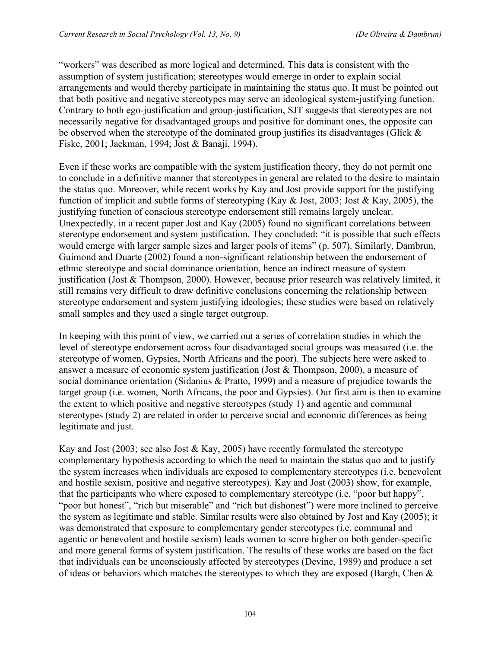"workers" was described as more logical and determined. This data is consistent with the assumption of system justification; stereotypes would emerge in order to explain social arrangements and would thereby participate in maintaining the status quo. It must be pointed out that both positive and negative stereotypes may serve an ideological system-justifying function. Contrary to both ego-justification and group-justification, SJT suggests that stereotypes are not necessarily negative for disadvantaged groups and positive for dominant ones, the opposite can be observed when the stereotype of the dominated group justifies its disadvantages (Glick & Fiske, 2001; Jackman, 1994; Jost & Banaji, 1994).

Even if these works are compatible with the system justification theory, they do not permit one to conclude in a definitive manner that stereotypes in general are related to the desire to maintain the status quo. Moreover, while recent works by Kay and Jost provide support for the justifying function of implicit and subtle forms of stereotyping (Kay & Jost, 2003; Jost & Kay, 2005), the justifying function of conscious stereotype endorsement still remains largely unclear. Unexpectedly, in a recent paper Jost and Kay (2005) found no significant correlations between stereotype endorsement and system justification. They concluded: "it is possible that such effects would emerge with larger sample sizes and larger pools of items" (p. 507). Similarly, Dambrun, Guimond and Duarte (2002) found a non-significant relationship between the endorsement of ethnic stereotype and social dominance orientation, hence an indirect measure of system justification (Jost & Thompson, 2000). However, because prior research was relatively limited, it still remains very difficult to draw definitive conclusions concerning the relationship between stereotype endorsement and system justifying ideologies; these studies were based on relatively small samples and they used a single target outgroup.

In keeping with this point of view, we carried out a series of correlation studies in which the level of stereotype endorsement across four disadvantaged social groups was measured (i.e. the stereotype of women, Gypsies, North Africans and the poor). The subjects here were asked to answer a measure of economic system justification (Jost & Thompson, 2000), a measure of social dominance orientation (Sidanius & Pratto, 1999) and a measure of prejudice towards the target group (i.e. women, North Africans, the poor and Gypsies). Our first aim is then to examine the extent to which positive and negative stereotypes (study 1) and agentic and communal stereotypes (study 2) are related in order to perceive social and economic differences as being legitimate and just.

Kay and Jost (2003; see also Jost  $&$  Kay, 2005) have recently formulated the stereotype complementary hypothesis according to which the need to maintain the status quo and to justify the system increases when individuals are exposed to complementary stereotypes (i.e. benevolent and hostile sexism, positive and negative stereotypes). Kay and Jost (2003) show, for example, that the participants who where exposed to complementary stereotype (i.e. "poor but happy", "poor but honest", "rich but miserable" and "rich but dishonest") were more inclined to perceive the system as legitimate and stable. Similar results were also obtained by Jost and Kay (2005); it was demonstrated that exposure to complementary gender stereotypes (i.e. communal and agentic or benevolent and hostile sexism) leads women to score higher on both gender-specific and more general forms of system justification. The results of these works are based on the fact that individuals can be unconsciously affected by stereotypes (Devine, 1989) and produce a set of ideas or behaviors which matches the stereotypes to which they are exposed (Bargh, Chen &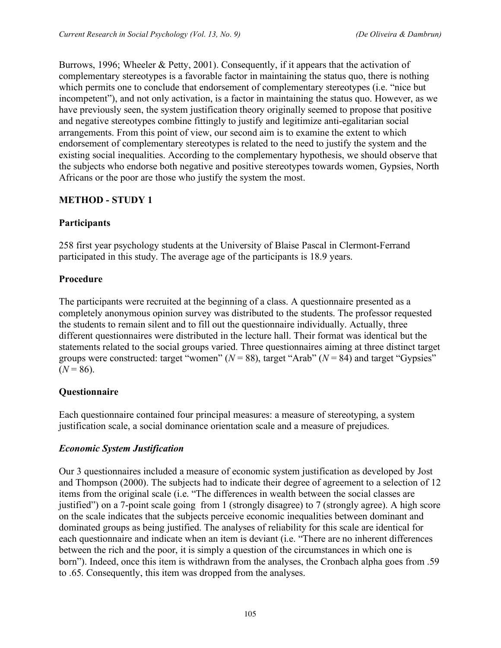Burrows, 1996; Wheeler & Petty, 2001). Consequently, if it appears that the activation of complementary stereotypes is a favorable factor in maintaining the status quo, there is nothing which permits one to conclude that endorsement of complementary stereotypes (i.e. "nice but incompetent"), and not only activation, is a factor in maintaining the status quo. However, as we have previously seen, the system justification theory originally seemed to propose that positive and negative stereotypes combine fittingly to justify and legitimize anti-egalitarian social arrangements. From this point of view, our second aim is to examine the extent to which endorsement of complementary stereotypes is related to the need to justify the system and the existing social inequalities. According to the complementary hypothesis, we should observe that the subjects who endorse both negative and positive stereotypes towards women, Gypsies, North Africans or the poor are those who justify the system the most.

## **METHOD - STUDY 1**

## **Participants**

258 first year psychology students at the University of Blaise Pascal in Clermont-Ferrand participated in this study. The average age of the participants is 18.9 years.

#### **Procedure**

The participants were recruited at the beginning of a class. A questionnaire presented as a completely anonymous opinion survey was distributed to the students. The professor requested the students to remain silent and to fill out the questionnaire individually. Actually, three different questionnaires were distributed in the lecture hall. Their format was identical but the statements related to the social groups varied. Three questionnaires aiming at three distinct target groups were constructed: target "women"  $(N = 88)$ , target "Arab"  $(N = 84)$  and target "Gypsies"  $(N = 86)$ .

# **Questionnaire**

Each questionnaire contained four principal measures: a measure of stereotyping, a system justification scale, a social dominance orientation scale and a measure of prejudices.

# *Economic System Justification*

Our 3 questionnaires included a measure of economic system justification as developed by Jost and Thompson (2000). The subjects had to indicate their degree of agreement to a selection of 12 items from the original scale (i.e. "The differences in wealth between the social classes are justified") on a 7-point scale going from 1 (strongly disagree) to 7 (strongly agree). A high score on the scale indicates that the subjects perceive economic inequalities between dominant and dominated groups as being justified. The analyses of reliability for this scale are identical for each questionnaire and indicate when an item is deviant (i.e. "There are no inherent differences between the rich and the poor, it is simply a question of the circumstances in which one is born"). Indeed, once this item is withdrawn from the analyses, the Cronbach alpha goes from .59 to .65. Consequently, this item was dropped from the analyses.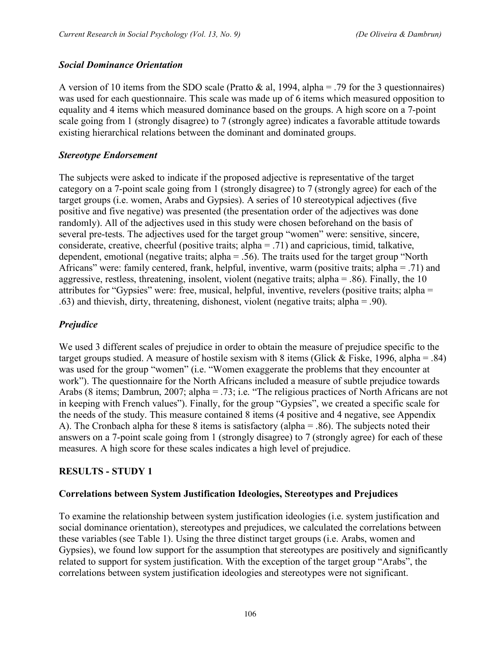## *Social Dominance Orientation*

A version of 10 items from the SDO scale (Pratto  $\&$  al, 1994, alpha = .79 for the 3 questionnaires) was used for each questionnaire. This scale was made up of 6 items which measured opposition to equality and 4 items which measured dominance based on the groups. A high score on a 7-point scale going from 1 (strongly disagree) to 7 (strongly agree) indicates a favorable attitude towards existing hierarchical relations between the dominant and dominated groups.

#### *Stereotype Endorsement*

The subjects were asked to indicate if the proposed adjective is representative of the target category on a 7-point scale going from 1 (strongly disagree) to 7 (strongly agree) for each of the target groups (i.e. women, Arabs and Gypsies). A series of 10 stereotypical adjectives (five positive and five negative) was presented (the presentation order of the adjectives was done randomly). All of the adjectives used in this study were chosen beforehand on the basis of several pre-tests. The adjectives used for the target group "women" were: sensitive, sincere, considerate, creative, cheerful (positive traits; alpha = .71) and capricious, timid, talkative, dependent, emotional (negative traits; alpha = .56). The traits used for the target group "North Africans" were: family centered, frank, helpful, inventive, warm (positive traits; alpha = .71) and aggressive, restless, threatening, insolent, violent (negative traits; alpha = .86). Finally, the 10 attributes for "Gypsies" were: free, musical, helpful, inventive, revelers (positive traits; alpha = .63) and thievish, dirty, threatening, dishonest, violent (negative traits; alpha = .90).

# *Prejudice*

We used 3 different scales of prejudice in order to obtain the measure of prejudice specific to the target groups studied. A measure of hostile sexism with 8 items (Glick & Fiske, 1996, alpha = .84) was used for the group "women" (i.e. "Women exaggerate the problems that they encounter at work"). The questionnaire for the North Africans included a measure of subtle prejudice towards Arabs (8 items; Dambrun, 2007; alpha = .73; i.e. "The religious practices of North Africans are not in keeping with French values"). Finally, for the group "Gypsies", we created a specific scale for the needs of the study. This measure contained 8 items (4 positive and 4 negative, see Appendix A). The Cronbach alpha for these 8 items is satisfactory (alpha = .86). The subjects noted their answers on a 7-point scale going from 1 (strongly disagree) to 7 (strongly agree) for each of these measures. A high score for these scales indicates a high level of prejudice.

# **RESULTS - STUDY 1**

#### **Correlations between System Justification Ideologies, Stereotypes and Prejudices**

To examine the relationship between system justification ideologies (i.e. system justification and social dominance orientation), stereotypes and prejudices, we calculated the correlations between these variables (see Table 1). Using the three distinct target groups (i.e. Arabs, women and Gypsies), we found low support for the assumption that stereotypes are positively and significantly related to support for system justification. With the exception of the target group "Arabs", the correlations between system justification ideologies and stereotypes were not significant.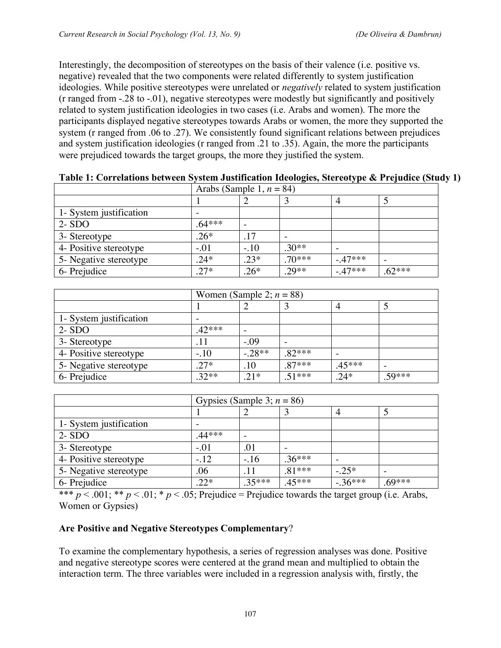Interestingly, the decomposition of stereotypes on the basis of their valence (i.e. positive vs. negative) revealed that the two components were related differently to system justification ideologies. While positive stereotypes were unrelated or *negatively* related to system justification (r ranged from -.28 to -.01), negative stereotypes were modestly but significantly and positively related to system justification ideologies in two cases (i.e. Arabs and women). The more the participants displayed negative stereotypes towards Arabs or women, the more they supported the system (r ranged from .06 to .27). We consistently found significant relations between prejudices and system justification ideologies (r ranged from .21 to .35). Again, the more the participants were prejudiced towards the target groups, the more they justified the system.

|                         | Arabs (Sample 1, $n = 84$ ) |        |          |          |          |  |
|-------------------------|-----------------------------|--------|----------|----------|----------|--|
|                         |                             |        |          |          |          |  |
| 1- System justification |                             |        |          |          |          |  |
| $2 - SDO$               | $.64***$                    |        |          |          |          |  |
| 3- Stereotype           | $.26*$                      | .17    |          |          |          |  |
| 4- Positive stereotype  | $-.01$                      | $-.10$ | $.30**$  |          |          |  |
| 5- Negative stereotype  | $.24*$                      | $.23*$ | $.70***$ | $-47***$ |          |  |
| 6- Prejudice            | $.27*$                      | $.26*$ | $.29**$  | $-47***$ | $.62***$ |  |

**Table 1: Correlations between System Justification Ideologies, Stereotype & Prejudice (Study 1)**

|                         | Women (Sample 2; $n = 88$ ) |          |          |          |       |  |
|-------------------------|-----------------------------|----------|----------|----------|-------|--|
|                         |                             |          |          |          |       |  |
| 1- System justification |                             |          |          |          |       |  |
| $2 - SDO$               | $.42***$                    |          |          |          |       |  |
| 3- Stereotype           |                             | $-.09$   |          |          |       |  |
| 4- Positive stereotype  | $-.10$                      | $-.28**$ | $82***$  |          |       |  |
| 5- Negative stereotype  | $.27*$                      | .10      | $.87***$ | $.45***$ |       |  |
| 6- Prejudice            | $.32**$                     | $.21*$   | $51***$  | $.24*$   | 59*** |  |

|                         | Gypsies (Sample 3; $n = 86$ ) |        |          |           |          |  |
|-------------------------|-------------------------------|--------|----------|-----------|----------|--|
|                         |                               |        |          |           |          |  |
| 1- System justification |                               |        |          |           |          |  |
| $2 - SDO$               | $.44***$                      |        |          |           |          |  |
| 3- Stereotype           | $-.01$                        | .01    |          |           |          |  |
| 4- Positive stereotype  | $-.12$                        | $-.16$ | $.36***$ |           |          |  |
| 5- Negative stereotype  | .06                           | .11    | $.81***$ | $-.25*$   |          |  |
| 6- Prejudice            | $.22*$                        | .35*** | 45***    | $-.36***$ | $.69***$ |  |

\*\*\*  $p < .001$ ; \*\*  $p < .01$ ; \*  $p < .05$ ; Prejudice = Prejudice towards the target group (i.e. Arabs, Women or Gypsies)

# **Are Positive and Negative Stereotypes Complementary**?

To examine the complementary hypothesis, a series of regression analyses was done. Positive and negative stereotype scores were centered at the grand mean and multiplied to obtain the interaction term. The three variables were included in a regression analysis with, firstly, the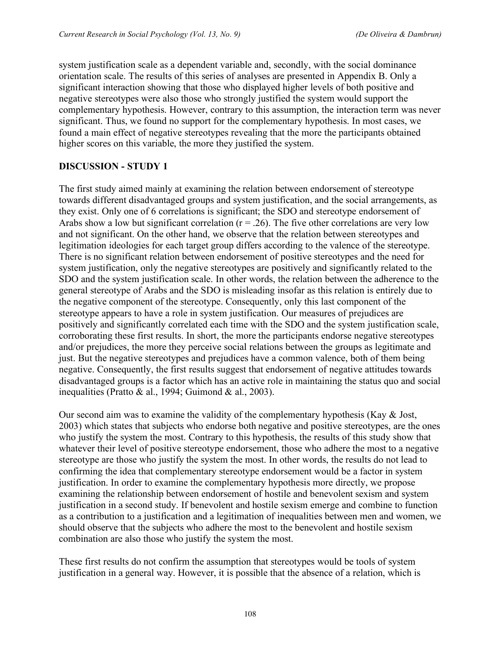system justification scale as a dependent variable and, secondly, with the social dominance orientation scale. The results of this series of analyses are presented in Appendix B. Only a significant interaction showing that those who displayed higher levels of both positive and negative stereotypes were also those who strongly justified the system would support the complementary hypothesis. However, contrary to this assumption, the interaction term was never significant. Thus, we found no support for the complementary hypothesis. In most cases, we found a main effect of negative stereotypes revealing that the more the participants obtained higher scores on this variable, the more they justified the system.

## **DISCUSSION - STUDY 1**

The first study aimed mainly at examining the relation between endorsement of stereotype towards different disadvantaged groups and system justification, and the social arrangements, as they exist. Only one of 6 correlations is significant; the SDO and stereotype endorsement of Arabs show a low but significant correlation ( $r = .26$ ). The five other correlations are very low and not significant. On the other hand, we observe that the relation between stereotypes and legitimation ideologies for each target group differs according to the valence of the stereotype. There is no significant relation between endorsement of positive stereotypes and the need for system justification, only the negative stereotypes are positively and significantly related to the SDO and the system justification scale. In other words, the relation between the adherence to the general stereotype of Arabs and the SDO is misleading insofar as this relation is entirely due to the negative component of the stereotype. Consequently, only this last component of the stereotype appears to have a role in system justification. Our measures of prejudices are positively and significantly correlated each time with the SDO and the system justification scale, corroborating these first results. In short, the more the participants endorse negative stereotypes and/or prejudices, the more they perceive social relations between the groups as legitimate and just. But the negative stereotypes and prejudices have a common valence, both of them being negative. Consequently, the first results suggest that endorsement of negative attitudes towards disadvantaged groups is a factor which has an active role in maintaining the status quo and social inequalities (Pratto & al., 1994; Guimond & al., 2003).

Our second aim was to examine the validity of the complementary hypothesis (Kay  $\&$  Jost, 2003) which states that subjects who endorse both negative and positive stereotypes, are the ones who justify the system the most. Contrary to this hypothesis, the results of this study show that whatever their level of positive stereotype endorsement, those who adhere the most to a negative stereotype are those who justify the system the most. In other words, the results do not lead to confirming the idea that complementary stereotype endorsement would be a factor in system justification. In order to examine the complementary hypothesis more directly, we propose examining the relationship between endorsement of hostile and benevolent sexism and system justification in a second study. If benevolent and hostile sexism emerge and combine to function as a contribution to a justification and a legitimation of inequalities between men and women, we should observe that the subjects who adhere the most to the benevolent and hostile sexism combination are also those who justify the system the most.

These first results do not confirm the assumption that stereotypes would be tools of system justification in a general way. However, it is possible that the absence of a relation, which is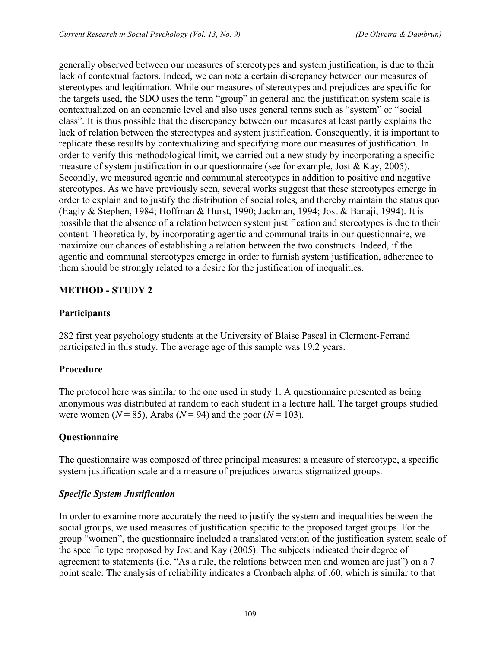generally observed between our measures of stereotypes and system justification, is due to their lack of contextual factors. Indeed, we can note a certain discrepancy between our measures of stereotypes and legitimation. While our measures of stereotypes and prejudices are specific for the targets used, the SDO uses the term "group" in general and the justification system scale is contextualized on an economic level and also uses general terms such as "system" or "social class". It is thus possible that the discrepancy between our measures at least partly explains the lack of relation between the stereotypes and system justification. Consequently, it is important to replicate these results by contextualizing and specifying more our measures of justification. In order to verify this methodological limit, we carried out a new study by incorporating a specific measure of system justification in our questionnaire (see for example, Jost & Kay, 2005). Secondly, we measured agentic and communal stereotypes in addition to positive and negative stereotypes. As we have previously seen, several works suggest that these stereotypes emerge in order to explain and to justify the distribution of social roles, and thereby maintain the status quo (Eagly & Stephen, 1984; Hoffman & Hurst, 1990; Jackman, 1994; Jost & Banaji, 1994). It is possible that the absence of a relation between system justification and stereotypes is due to their content. Theoretically, by incorporating agentic and communal traits in our questionnaire, we maximize our chances of establishing a relation between the two constructs. Indeed, if the agentic and communal stereotypes emerge in order to furnish system justification, adherence to them should be strongly related to a desire for the justification of inequalities.

# **METHOD - STUDY 2**

## **Participants**

282 first year psychology students at the University of Blaise Pascal in Clermont-Ferrand participated in this study. The average age of this sample was 19.2 years.

#### **Procedure**

The protocol here was similar to the one used in study 1. A questionnaire presented as being anonymous was distributed at random to each student in a lecture hall. The target groups studied were women ( $N = 85$ ), Arabs ( $N = 94$ ) and the poor ( $N = 103$ ).

#### **Questionnaire**

The questionnaire was composed of three principal measures: a measure of stereotype, a specific system justification scale and a measure of prejudices towards stigmatized groups.

#### *Specific System Justification*

In order to examine more accurately the need to justify the system and inequalities between the social groups, we used measures of justification specific to the proposed target groups. For the group "women", the questionnaire included a translated version of the justification system scale of the specific type proposed by Jost and Kay (2005). The subjects indicated their degree of agreement to statements (i.e. "As a rule, the relations between men and women are just") on a 7 point scale. The analysis of reliability indicates a Cronbach alpha of .60, which is similar to that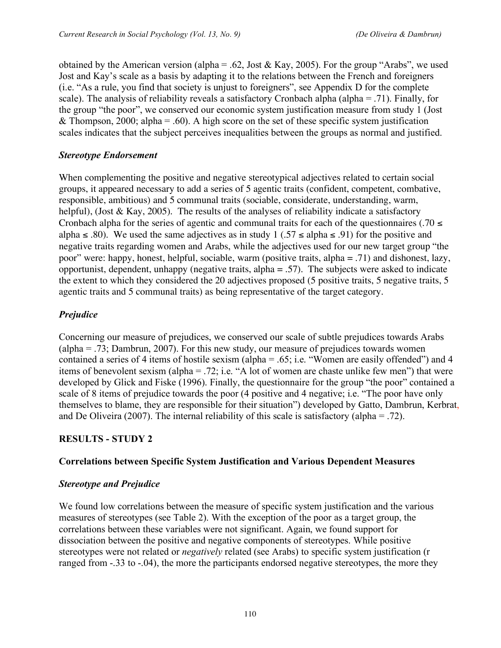obtained by the American version (alpha = .62, Jost & Kay, 2005). For the group "Arabs", we used Jost and Kay's scale as a basis by adapting it to the relations between the French and foreigners (i.e. "As a rule, you find that society is unjust to foreigners", see Appendix D for the complete scale). The analysis of reliability reveals a satisfactory Cronbach alpha (alpha = .71). Finally, for the group "the poor", we conserved our economic system justification measure from study 1 (Jost & Thompson, 2000; alpha = .60). A high score on the set of these specific system justification scales indicates that the subject perceives inequalities between the groups as normal and justified.

#### *Stereotype Endorsement*

When complementing the positive and negative stereotypical adjectives related to certain social groups, it appeared necessary to add a series of 5 agentic traits (confident, competent, combative, responsible, ambitious) and 5 communal traits (sociable, considerate, understanding, warm, helpful), (Jost & Kay, 2005). The results of the analyses of reliability indicate a satisfactory Cronbach alpha for the series of agentic and communal traits for each of the questionnaires (.70  $\le$ alpha ≤ .80). We used the same adjectives as in study 1 (.57 ≤ alpha ≤ .91) for the positive and negative traits regarding women and Arabs, while the adjectives used for our new target group "the poor" were: happy, honest, helpful, sociable, warm (positive traits, alpha = .71) and dishonest, lazy, opportunist, dependent, unhappy (negative traits,  $alpha = .57$ ). The subjects were asked to indicate the extent to which they considered the 20 adjectives proposed (5 positive traits, 5 negative traits, 5 agentic traits and 5 communal traits) as being representative of the target category.

## *Prejudice*

Concerning our measure of prejudices, we conserved our scale of subtle prejudices towards Arabs (alpha = .73; Dambrun, 2007). For this new study, our measure of prejudices towards women contained a series of 4 items of hostile sexism (alpha = .65; i.e. "Women are easily offended") and 4 items of benevolent sexism (alpha = .72; i.e. "A lot of women are chaste unlike few men") that were developed by Glick and Fiske (1996). Finally, the questionnaire for the group "the poor" contained a scale of 8 items of prejudice towards the poor (4 positive and 4 negative; i.e. "The poor have only themselves to blame, they are responsible for their situation") developed by Gatto, Dambrun, Kerbrat, and De Oliveira (2007). The internal reliability of this scale is satisfactory (alpha = .72).

#### **RESULTS - STUDY 2**

#### **Correlations between Specific System Justification and Various Dependent Measures**

#### *Stereotype and Prejudice*

We found low correlations between the measure of specific system justification and the various measures of stereotypes (see Table 2). With the exception of the poor as a target group, the correlations between these variables were not significant. Again, we found support for dissociation between the positive and negative components of stereotypes. While positive stereotypes were not related or *negatively* related (see Arabs) to specific system justification (r ranged from -.33 to -.04), the more the participants endorsed negative stereotypes, the more they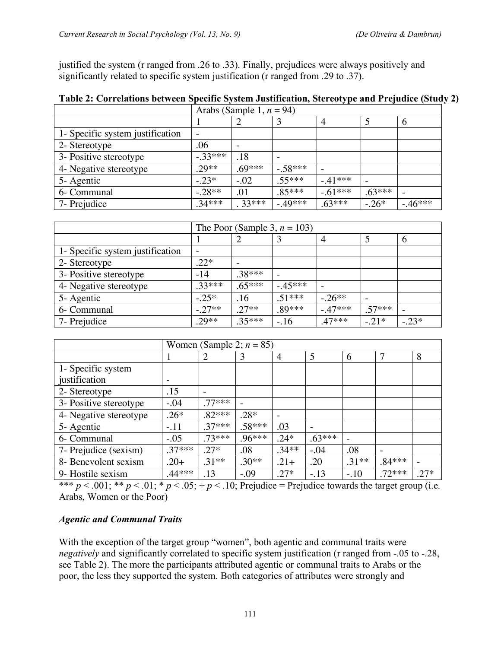justified the system (r ranged from .26 to .33). Finally, prejudices were always positively and significantly related to specific system justification (r ranged from .29 to .37).

|                                  | Arabs (Sample 1, $n = 94$ ) |          |           |           |          |          |  |
|----------------------------------|-----------------------------|----------|-----------|-----------|----------|----------|--|
|                                  |                             |          |           |           |          | 6        |  |
| 1- Specific system justification |                             |          |           |           |          |          |  |
| 2- Stereotype                    | .06                         |          |           |           |          |          |  |
| 3- Positive stereotype           | $-.33***$                   | .18      |           |           |          |          |  |
| 4- Negative stereotype           | $.29**$                     | $.69***$ | $-.58***$ |           |          |          |  |
| 5- Agentic                       | $-.23*$                     | $-.02$   | $.55***$  | $-.41***$ |          |          |  |
| 6- Communal                      | $-.28**$                    | .01      | $.85***$  | $-.61***$ | $.63***$ |          |  |
| 7- Prejudice                     | $.34***$                    | 33***    | $-.49***$ | $.63***$  | $-.26*$  | $-46***$ |  |

|                                  | The Poor (Sample 3, $n = 103$ ) |          |          |           |          |         |
|----------------------------------|---------------------------------|----------|----------|-----------|----------|---------|
|                                  |                                 |          |          | 4         | 5        | 6       |
| 1- Specific system justification | $\overline{\phantom{a}}$        |          |          |           |          |         |
| 2- Stereotype                    | $.22*$                          |          |          |           |          |         |
| 3- Positive stereotype           | $-14$                           | .38***   |          |           |          |         |
| 4- Negative stereotype           | $33***$                         | $.65***$ | $-45***$ |           |          |         |
| 5- Agentic                       | $-.25*$                         | .16      | $.51***$ | $-.26**$  |          |         |
| 6- Communal                      | $-.27**$                        | $.27**$  | $.89***$ | $-.47***$ | $.57***$ |         |
| 7- Prejudice                     | $.29**$                         | $.35***$ | $-.16$   | $.47***$  | $-.21*$  | $-.23*$ |

| Women (Sample 2; $n = 85$ ) |          |          |          |         |          |         |          |        |
|-----------------------------|----------|----------|----------|---------|----------|---------|----------|--------|
|                             |          |          | 3        | 4       | 5        | 6       | 7        | 8      |
| 1- Specific system          |          |          |          |         |          |         |          |        |
| justification               |          |          |          |         |          |         |          |        |
| 2- Stereotype               | .15      |          |          |         |          |         |          |        |
| 3- Positive stereotype      | $-.04$   | $77***$  |          |         |          |         |          |        |
| 4- Negative stereotype      | $.26*$   | $.82***$ | $.28*$   |         |          |         |          |        |
| 5- Agentic                  | $-.11$   | $.37***$ | $.58***$ | .03     |          |         |          |        |
| 6- Communal                 | $-.05$   | $.73***$ | $.96***$ | $.24*$  | $.63***$ |         |          |        |
| 7- Prejudice (sexism)       | $37***$  | $.27*$   | .08      | $.34**$ | $-.04$   | .08     |          |        |
| 8- Benevolent sexism        | $.20+$   | $.31**$  | $.30**$  | $.21+$  | .20      | $.31**$ | $.84***$ |        |
| 9- Hostile sexism           | $.44***$ | .13      | $-.09$   | $.27*$  | $-.13$   | $-.10$  | $.72***$ | $.27*$ |

\*\*\*  $p < .001$ ; \*\*  $p < .01$ ; \*  $p < .05$ ; +  $p < .10$ ; Prejudice = Prejudice towards the target group (i.e. Arabs, Women or the Poor)

# *Agentic and Communal Traits*

With the exception of the target group "women", both agentic and communal traits were *negatively* and significantly correlated to specific system justification (r ranged from -.05 to -.28, see Table 2). The more the participants attributed agentic or communal traits to Arabs or the poor, the less they supported the system. Both categories of attributes were strongly and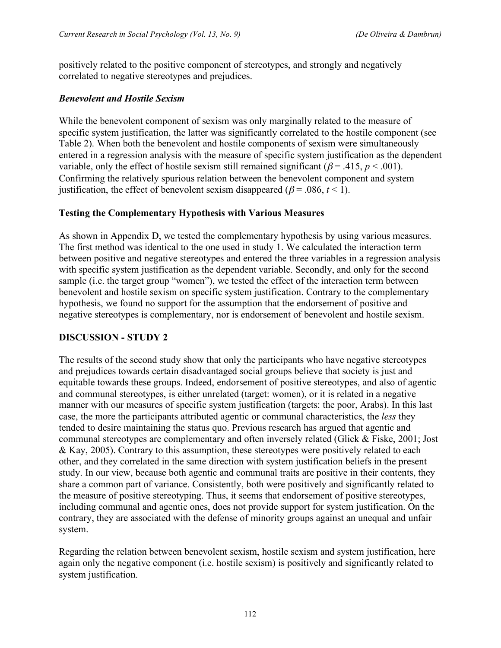positively related to the positive component of stereotypes, and strongly and negatively correlated to negative stereotypes and prejudices.

## *Benevolent and Hostile Sexism*

While the benevolent component of sexism was only marginally related to the measure of specific system justification, the latter was significantly correlated to the hostile component (see Table 2). When both the benevolent and hostile components of sexism were simultaneously entered in a regression analysis with the measure of specific system justification as the dependent variable, only the effect of hostile sexism still remained significant ( $\beta$  = .415,  $p$  < .001). Confirming the relatively spurious relation between the benevolent component and system justification, the effect of benevolent sexism disappeared ( $\beta$  = .086, *t* < 1).

## **Testing the Complementary Hypothesis with Various Measures**

As shown in Appendix D, we tested the complementary hypothesis by using various measures. The first method was identical to the one used in study 1. We calculated the interaction term between positive and negative stereotypes and entered the three variables in a regression analysis with specific system justification as the dependent variable. Secondly, and only for the second sample (i.e. the target group "women"), we tested the effect of the interaction term between benevolent and hostile sexism on specific system justification. Contrary to the complementary hypothesis, we found no support for the assumption that the endorsement of positive and negative stereotypes is complementary, nor is endorsement of benevolent and hostile sexism.

# **DISCUSSION - STUDY 2**

The results of the second study show that only the participants who have negative stereotypes and prejudices towards certain disadvantaged social groups believe that society is just and equitable towards these groups. Indeed, endorsement of positive stereotypes, and also of agentic and communal stereotypes, is either unrelated (target: women), or it is related in a negative manner with our measures of specific system justification (targets: the poor, Arabs). In this last case, the more the participants attributed agentic or communal characteristics, the *less* they tended to desire maintaining the status quo. Previous research has argued that agentic and communal stereotypes are complementary and often inversely related (Glick & Fiske, 2001; Jost & Kay, 2005). Contrary to this assumption, these stereotypes were positively related to each other, and they correlated in the same direction with system justification beliefs in the present study. In our view, because both agentic and communal traits are positive in their contents, they share a common part of variance. Consistently, both were positively and significantly related to the measure of positive stereotyping. Thus, it seems that endorsement of positive stereotypes, including communal and agentic ones, does not provide support for system justification. On the contrary, they are associated with the defense of minority groups against an unequal and unfair system.

Regarding the relation between benevolent sexism, hostile sexism and system justification, here again only the negative component (i.e. hostile sexism) is positively and significantly related to system justification.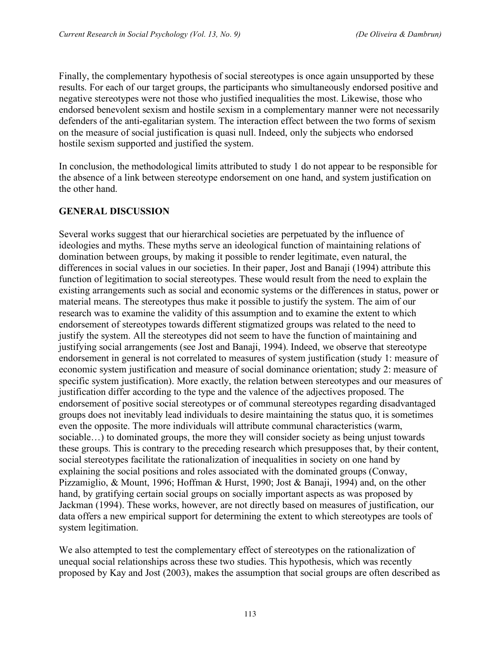Finally, the complementary hypothesis of social stereotypes is once again unsupported by these results. For each of our target groups, the participants who simultaneously endorsed positive and negative stereotypes were not those who justified inequalities the most. Likewise, those who endorsed benevolent sexism and hostile sexism in a complementary manner were not necessarily defenders of the anti-egalitarian system. The interaction effect between the two forms of sexism on the measure of social justification is quasi null. Indeed, only the subjects who endorsed hostile sexism supported and justified the system.

In conclusion, the methodological limits attributed to study 1 do not appear to be responsible for the absence of a link between stereotype endorsement on one hand, and system justification on the other hand.

#### **GENERAL DISCUSSION**

Several works suggest that our hierarchical societies are perpetuated by the influence of ideologies and myths. These myths serve an ideological function of maintaining relations of domination between groups, by making it possible to render legitimate, even natural, the differences in social values in our societies. In their paper, Jost and Banaji (1994) attribute this function of legitimation to social stereotypes. These would result from the need to explain the existing arrangements such as social and economic systems or the differences in status, power or material means. The stereotypes thus make it possible to justify the system. The aim of our research was to examine the validity of this assumption and to examine the extent to which endorsement of stereotypes towards different stigmatized groups was related to the need to justify the system. All the stereotypes did not seem to have the function of maintaining and justifying social arrangements (see Jost and Banaji, 1994). Indeed, we observe that stereotype endorsement in general is not correlated to measures of system justification (study 1: measure of economic system justification and measure of social dominance orientation; study 2: measure of specific system justification). More exactly, the relation between stereotypes and our measures of justification differ according to the type and the valence of the adjectives proposed. The endorsement of positive social stereotypes or of communal stereotypes regarding disadvantaged groups does not inevitably lead individuals to desire maintaining the status quo, it is sometimes even the opposite. The more individuals will attribute communal characteristics (warm, sociable…) to dominated groups, the more they will consider society as being unjust towards these groups. This is contrary to the preceding research which presupposes that, by their content, social stereotypes facilitate the rationalization of inequalities in society on one hand by explaining the social positions and roles associated with the dominated groups (Conway, Pizzamiglio, & Mount, 1996; Hoffman & Hurst, 1990; Jost & Banaji, 1994) and, on the other hand, by gratifying certain social groups on socially important aspects as was proposed by Jackman (1994). These works, however, are not directly based on measures of justification, our data offers a new empirical support for determining the extent to which stereotypes are tools of system legitimation.

We also attempted to test the complementary effect of stereotypes on the rationalization of unequal social relationships across these two studies. This hypothesis, which was recently proposed by Kay and Jost (2003), makes the assumption that social groups are often described as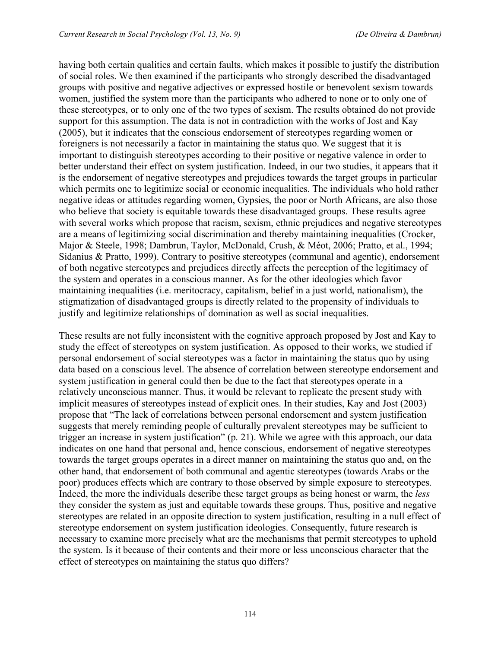having both certain qualities and certain faults, which makes it possible to justify the distribution of social roles. We then examined if the participants who strongly described the disadvantaged groups with positive and negative adjectives or expressed hostile or benevolent sexism towards women, justified the system more than the participants who adhered to none or to only one of these stereotypes, or to only one of the two types of sexism. The results obtained do not provide support for this assumption. The data is not in contradiction with the works of Jost and Kay (2005), but it indicates that the conscious endorsement of stereotypes regarding women or foreigners is not necessarily a factor in maintaining the status quo. We suggest that it is important to distinguish stereotypes according to their positive or negative valence in order to better understand their effect on system justification. Indeed, in our two studies, it appears that it is the endorsement of negative stereotypes and prejudices towards the target groups in particular which permits one to legitimize social or economic inequalities. The individuals who hold rather negative ideas or attitudes regarding women, Gypsies, the poor or North Africans, are also those who believe that society is equitable towards these disadvantaged groups. These results agree with several works which propose that racism, sexism, ethnic prejudices and negative stereotypes are a means of legitimizing social discrimination and thereby maintaining inequalities (Crocker, Major & Steele, 1998; Dambrun, Taylor, McDonald, Crush, & Méot, 2006; Pratto, et al., 1994; Sidanius & Pratto, 1999). Contrary to positive stereotypes (communal and agentic), endorsement of both negative stereotypes and prejudices directly affects the perception of the legitimacy of the system and operates in a conscious manner. As for the other ideologies which favor maintaining inequalities (i.e. meritocracy, capitalism, belief in a just world, nationalism), the stigmatization of disadvantaged groups is directly related to the propensity of individuals to justify and legitimize relationships of domination as well as social inequalities.

These results are not fully inconsistent with the cognitive approach proposed by Jost and Kay to study the effect of stereotypes on system justification. As opposed to their works, we studied if personal endorsement of social stereotypes was a factor in maintaining the status quo by using data based on a conscious level. The absence of correlation between stereotype endorsement and system justification in general could then be due to the fact that stereotypes operate in a relatively unconscious manner. Thus, it would be relevant to replicate the present study with implicit measures of stereotypes instead of explicit ones. In their studies, Kay and Jost (2003) propose that "The lack of correlations between personal endorsement and system justification suggests that merely reminding people of culturally prevalent stereotypes may be sufficient to trigger an increase in system justification" (p. 21). While we agree with this approach, our data indicates on one hand that personal and, hence conscious, endorsement of negative stereotypes towards the target groups operates in a direct manner on maintaining the status quo and, on the other hand, that endorsement of both communal and agentic stereotypes (towards Arabs or the poor) produces effects which are contrary to those observed by simple exposure to stereotypes. Indeed, the more the individuals describe these target groups as being honest or warm, the *less* they consider the system as just and equitable towards these groups. Thus, positive and negative stereotypes are related in an opposite direction to system justification, resulting in a null effect of stereotype endorsement on system justification ideologies. Consequently, future research is necessary to examine more precisely what are the mechanisms that permit stereotypes to uphold the system. Is it because of their contents and their more or less unconscious character that the effect of stereotypes on maintaining the status quo differs?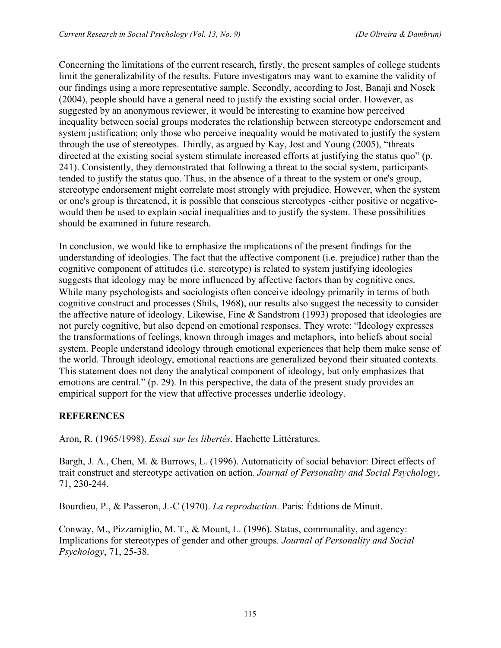Concerning the limitations of the current research, firstly, the present samples of college students limit the generalizability of the results. Future investigators may want to examine the validity of our findings using a more representative sample. Secondly, according to Jost, Banaji and Nosek (2004), people should have a general need to justify the existing social order. However, as suggested by an anonymous reviewer, it would be interesting to examine how perceived inequality between social groups moderates the relationship between stereotype endorsement and system justification; only those who perceive inequality would be motivated to justify the system through the use of stereotypes. Thirdly, as argued by Kay, Jost and Young (2005), "threats directed at the existing social system stimulate increased efforts at justifying the status quo" (p. 241). Consistently, they demonstrated that following a threat to the social system, participants tended to justify the status quo. Thus, in the absence of a threat to the system or one's group, stereotype endorsement might correlate most strongly with prejudice. However, when the system or one's group is threatened, it is possible that conscious stereotypes -either positive or negativewould then be used to explain social inequalities and to justify the system. These possibilities should be examined in future research.

In conclusion, we would like to emphasize the implications of the present findings for the understanding of ideologies. The fact that the affective component (i.e. prejudice) rather than the cognitive component of attitudes (i.e. stereotype) is related to system justifying ideologies suggests that ideology may be more influenced by affective factors than by cognitive ones. While many psychologists and sociologists often conceive ideology primarily in terms of both cognitive construct and processes (Shils, 1968), our results also suggest the necessity to consider the affective nature of ideology. Likewise, Fine & Sandstrom (1993) proposed that ideologies are not purely cognitive, but also depend on emotional responses. They wrote: "Ideology expresses the transformations of feelings, known through images and metaphors, into beliefs about social system. People understand ideology through emotional experiences that help them make sense of the world. Through ideology, emotional reactions are generalized beyond their situated contexts. This statement does not deny the analytical component of ideology, but only emphasizes that emotions are central." (p. 29). In this perspective, the data of the present study provides an empirical support for the view that affective processes underlie ideology.

# **REFERENCES**

Aron, R. (1965/1998). *Essai sur les libertés*. Hachette Littératures.

Bargh, J. A., Chen, M. & Burrows, L. (1996). Automaticity of social behavior: Direct effects of trait construct and stereotype activation on action. *Journal of Personality and Social Psychology*, 71, 230-244.

Bourdieu, P., & Passeron, J.-C (1970). *La reproduction*. Paris: Éditions de Minuit.

Conway, M., Pizzamiglio, M. T., & Mount, L. (1996). Status, communality, and agency: Implications for stereotypes of gender and other groups. *Journal of Personality and Social Psychology*, 71, 25-38.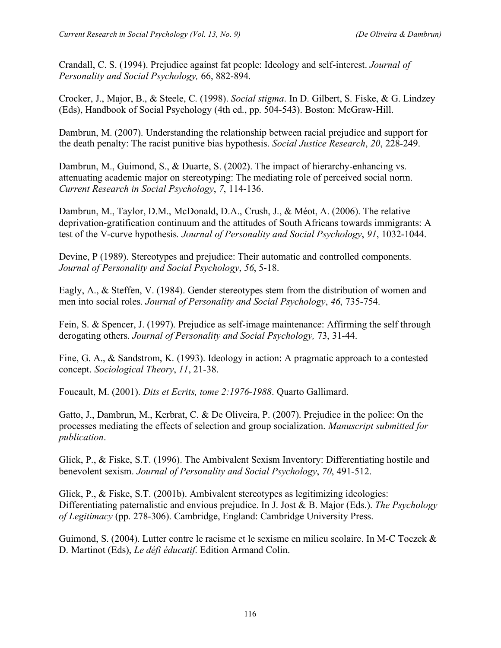Crandall, C. S. (1994). Prejudice against fat people: Ideology and self-interest. *Journal of Personality and Social Psychology,* 66, 882-894.

Crocker, J., Major, B., & Steele, C. (1998). *Social stigma*. In D. Gilbert, S. Fiske, & G. Lindzey (Eds), Handbook of Social Psychology (4th ed., pp. 504-543). Boston: McGraw-Hill.

Dambrun, M. (2007). Understanding the relationship between racial prejudice and support for the death penalty: The racist punitive bias hypothesis. *Social Justice Research*, *20*, 228-249.

Dambrun, M., Guimond, S., & Duarte, S. (2002). The impact of hierarchy-enhancing vs. attenuating academic major on stereotyping: The mediating role of perceived social norm. *Current Research in Social Psychology*, *7*, 114-136.

Dambrun, M., Taylor, D.M., McDonald, D.A., Crush, J., & Méot, A. (2006). The relative deprivation-gratification continuum and the attitudes of South Africans towards immigrants: A test of the V-curve hypothesis*. Journal of Personality and Social Psychology*, *91*, 1032-1044.

Devine, P (1989). Stereotypes and prejudice: Their automatic and controlled components. *Journal of Personality and Social Psychology*, *56*, 5-18.

Eagly, A., & Steffen, V. (1984). Gender stereotypes stem from the distribution of women and men into social roles. *Journal of Personality and Social Psychology*, *46*, 735-754.

Fein, S. & Spencer, J. (1997). Prejudice as self-image maintenance: Affirming the self through derogating others. *Journal of Personality and Social Psychology,* 73, 31-44.

Fine, G. A., & Sandstrom, K. (1993). Ideology in action: A pragmatic approach to a contested concept. *Sociological Theory*, *11*, 21-38.

Foucault, M. (2001). *Dits et Ecrits, tome 2:1976-1988*. Quarto Gallimard.

Gatto, J., Dambrun, M., Kerbrat, C. & De Oliveira, P. (2007). Prejudice in the police: On the processes mediating the effects of selection and group socialization. *Manuscript submitted for publication*.

Glick, P., & Fiske, S.T. (1996). The Ambivalent Sexism Inventory: Differentiating hostile and benevolent sexism. *Journal of Personality and Social Psychology*, *70*, 491-512.

Glick, P., & Fiske, S.T. (2001b). Ambivalent stereotypes as legitimizing ideologies: Differentiating paternalistic and envious prejudice. In J. Jost & B. Major (Eds.). *The Psychology of Legitimacy* (pp. 278-306). Cambridge, England: Cambridge University Press.

Guimond, S. (2004). Lutter contre le racisme et le sexisme en milieu scolaire. In M-C Toczek & D. Martinot (Eds), *Le défi éducatif*. Edition Armand Colin.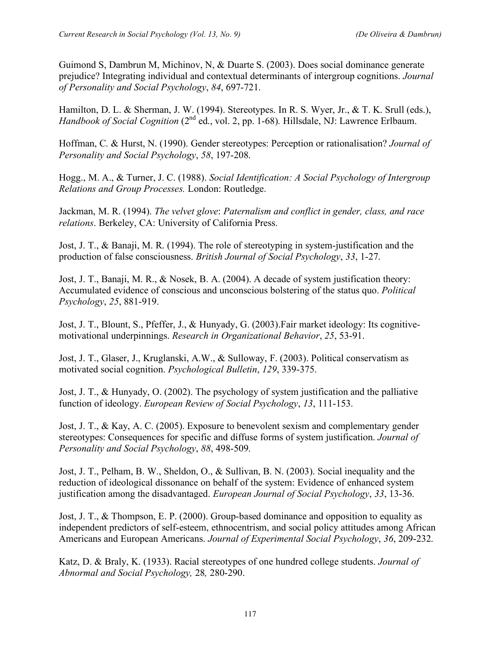Guimond S, Dambrun M, Michinov, N, & Duarte S. (2003). Does social dominance generate prejudice? Integrating individual and contextual determinants of intergroup cognitions. *Journal of Personality and Social Psychology*, *84*, 697-721.

Hamilton, D. L. & Sherman, J. W. (1994). Stereotypes. In R. S. Wyer, Jr., & T. K. Srull (eds.), *Handbook of Social Cognition* (2<sup>nd</sup> ed., vol. 2, pp. 1-68). Hillsdale, NJ: Lawrence Erlbaum.

Hoffman, C. & Hurst, N. (1990). Gender stereotypes: Perception or rationalisation? *Journal of Personality and Social Psychology*, *58*, 197-208.

Hogg., M. A., & Turner, J. C. (1988). *Social Identification: A Social Psychology of Intergroup Relations and Group Processes.* London: Routledge.

Jackman, M. R. (1994). *The velvet glove*: *Paternalism and conflict in gender, class, and race relations*. Berkeley, CA: University of California Press.

Jost, J. T., & Banaji, M. R. (1994). The role of stereotyping in system-justification and the production of false consciousness. *British Journal of Social Psychology*, *33*, 1-27.

Jost, J. T., Banaji, M. R., & Nosek, B. A. (2004). A decade of system justification theory: Accumulated evidence of conscious and unconscious bolstering of the status quo. *Political Psychology*, *25*, 881-919.

Jost, J. T., Blount, S., Pfeffer, J., & Hunyady, G. (2003).Fair market ideology: Its cognitivemotivational underpinnings. *Research in Organizational Behavior*, *25*, 53-91.

Jost, J. T., Glaser, J., Kruglanski, A.W., & Sulloway, F. (2003). Political conservatism as motivated social cognition. *Psychological Bulletin*, *129*, 339-375.

Jost, J. T., & Hunyady, O. (2002). The psychology of system justification and the palliative function of ideology. *European Review of Social Psychology*, *13*, 111-153.

Jost, J. T., & Kay, A. C. (2005). Exposure to benevolent sexism and complementary gender stereotypes: Consequences for specific and diffuse forms of system justification. *Journal of Personality and Social Psychology*, *88*, 498-509.

Jost, J. T., Pelham, B. W., Sheldon, O., & Sullivan, B. N. (2003). Social inequality and the reduction of ideological dissonance on behalf of the system: Evidence of enhanced system justification among the disadvantaged. *European Journal of Social Psychology*, *33*, 13-36.

Jost, J. T., & Thompson, E. P. (2000). Group-based dominance and opposition to equality as independent predictors of self-esteem, ethnocentrism, and social policy attitudes among African Americans and European Americans. *Journal of Experimental Social Psychology*, *36*, 209-232.

Katz, D. & Braly, K. (1933). Racial stereotypes of one hundred college students. *Journal of Abnormal and Social Psychology,* 28*,* 280-290.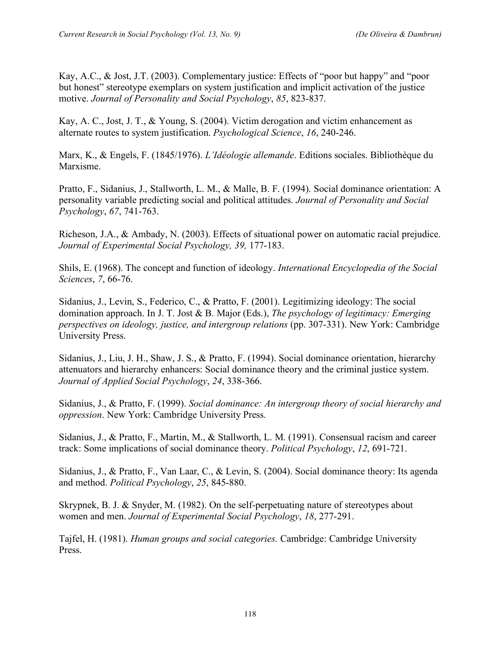Kay, A.C., & Jost, J.T. (2003). Complementary justice: Effects of "poor but happy" and "poor but honest" stereotype exemplars on system justification and implicit activation of the justice motive. *Journal of Personality and Social Psychology*, *85*, 823-837.

Kay, A. C., Jost, J. T., & Young, S. (2004). Victim derogation and victim enhancement as alternate routes to system justification. *Psychological Science*, *16*, 240-246.

Marx, K., & Engels, F. (1845/1976). *L'Idéologie allemande*. Editions sociales. Bibliothèque du Marxisme.

Pratto, F., Sidanius, J., Stallworth, L. M., & Malle, B. F. (1994). Social dominance orientation: A personality variable predicting social and political attitudes. *Journal of Personality and Social Psychology*, *67*, 741-763.

Richeson, J.A., & Ambady, N. (2003). Effects of situational power on automatic racial prejudice. *Journal of Experimental Social Psychology, 39,* 177-183.

Shils, E. (1968). The concept and function of ideology. *International Encyclopedia of the Social Sciences*, *7*, 66-76.

Sidanius, J., Levin, S., Federico, C., & Pratto, F. (2001). Legitimizing ideology: The social domination approach. In J. T. Jost & B. Major (Eds.), *The psychology of legitimacy: Emerging perspectives on ideology, justice, and intergroup relations* (pp. 307-331). New York: Cambridge University Press.

Sidanius, J., Liu, J. H., Shaw, J. S., & Pratto, F. (1994). Social dominance orientation, hierarchy attenuators and hierarchy enhancers: Social dominance theory and the criminal justice system. *Journal of Applied Social Psychology*, *24*, 338-366.

Sidanius, J., & Pratto, F. (1999). *Social dominance: An intergroup theory of social hierarchy and oppression*. New York: Cambridge University Press.

Sidanius, J., & Pratto, F., Martin, M., & Stallworth, L. M. (1991). Consensual racism and career track: Some implications of social dominance theory. *Political Psychology*, *12*, 691-721.

Sidanius, J., & Pratto, F., Van Laar, C., & Levin, S. (2004). Social dominance theory: Its agenda and method. *Political Psychology*, *25*, 845-880.

Skrypnek, B. J. & Snyder, M. (1982). On the self-perpetuating nature of stereotypes about women and men. *Journal of Experimental Social Psychology*, *18*, 277-291.

Tajfel, H. (1981). *Human groups and social categories.* Cambridge: Cambridge University Press.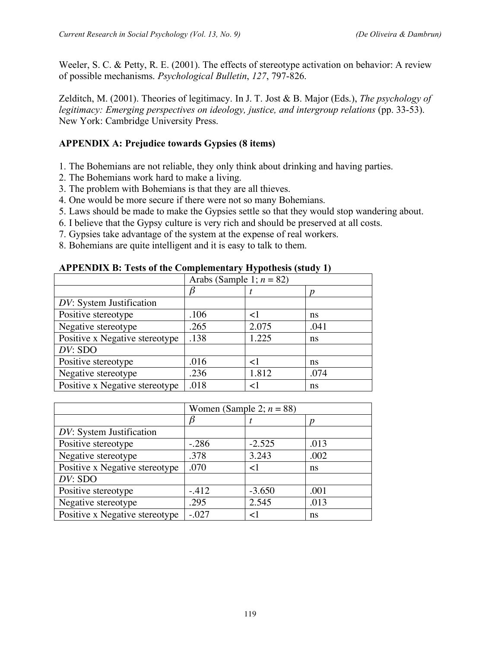Weeler, S. C. & Petty, R. E. (2001). The effects of stereotype activation on behavior: A review of possible mechanisms. *Psychological Bulletin*, *127*, 797-826.

Zelditch, M. (2001). Theories of legitimacy. In J. T. Jost & B. Major (Eds.), *The psychology of legitimacy: Emerging perspectives on ideology, justice, and intergroup relations* (pp. 33-53). New York: Cambridge University Press.

# **APPENDIX A: Prejudice towards Gypsies (8 items)**

- 1. The Bohemians are not reliable, they only think about drinking and having parties.
- 2. The Bohemians work hard to make a living.
- 3. The problem with Bohemians is that they are all thieves.
- 4. One would be more secure if there were not so many Bohemians.
- 5. Laws should be made to make the Gypsies settle so that they would stop wandering about.
- 6. I believe that the Gypsy culture is very rich and should be preserved at all costs.
- 7. Gypsies take advantage of the system at the expense of real workers.
- 8. Bohemians are quite intelligent and it is easy to talk to them.

## **APPENDIX B: Tests of the Complementary Hypothesis (study 1)**

|                                | Arabs (Sample 1; $n = 82$ ) |       |      |  |  |
|--------------------------------|-----------------------------|-------|------|--|--|
|                                |                             |       |      |  |  |
| DV: System Justification       |                             |       |      |  |  |
| Positive stereotype            | .106                        | ا >   | ns   |  |  |
| Negative stereotype            | .265                        | 2.075 | .041 |  |  |
| Positive x Negative stereotype | .138                        | 1.225 | ns   |  |  |
| DV: SDO                        |                             |       |      |  |  |
| Positive stereotype            | .016                        | ا>    | ns   |  |  |
| Negative stereotype            | .236                        | 1.812 | .074 |  |  |
| Positive x Negative stereotype | .018                        |       | ns   |  |  |

|                                | Women (Sample 2; $n = 88$ ) |          |      |  |  |
|--------------------------------|-----------------------------|----------|------|--|--|
|                                |                             |          |      |  |  |
| DV: System Justification       |                             |          |      |  |  |
| Positive stereotype            | $-.286$                     | $-2.525$ | .013 |  |  |
| Negative stereotype            | .378                        | 3.243    | .002 |  |  |
| Positive x Negative stereotype | .070                        | $<$ 1    | ns   |  |  |
| $DV:$ SDO                      |                             |          |      |  |  |
| Positive stereotype            | $-.412$                     | $-3.650$ | .001 |  |  |
| Negative stereotype            | .295                        | 2.545    | .013 |  |  |
| Positive x Negative stereotype | $-.027$                     | ${<}1$   | ns   |  |  |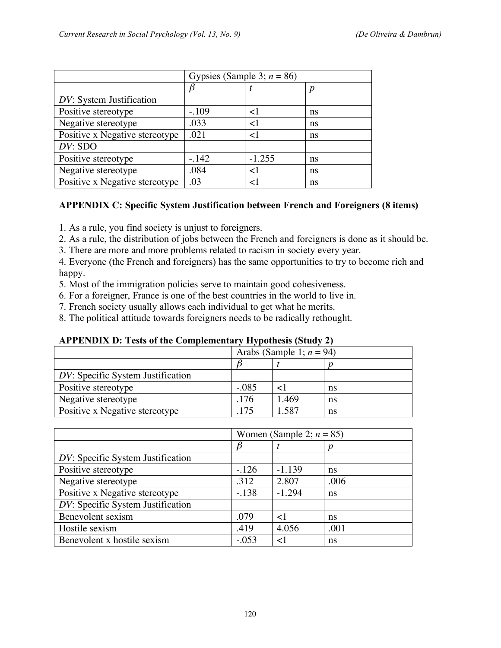|                                | Gypsies (Sample 3; $n = 86$ ) |          |    |  |  |
|--------------------------------|-------------------------------|----------|----|--|--|
|                                |                               |          |    |  |  |
| DV: System Justification       |                               |          |    |  |  |
| Positive stereotype            | $-.109$                       | $\leq$   | ns |  |  |
| Negative stereotype            | .033                          | $\leq$   | ns |  |  |
| Positive x Negative stereotype | .021                          | ا>       | ns |  |  |
| DV: SDO                        |                               |          |    |  |  |
| Positive stereotype            | $-.142$                       | $-1.255$ | ns |  |  |
| Negative stereotype            | .084                          | $\leq$ 1 | ns |  |  |
| Positive x Negative stereotype | .03                           | ا >      | ns |  |  |

# **APPENDIX C: Specific System Justification between French and Foreigners (8 items)**

1. As a rule, you find society is unjust to foreigners.

2. As a rule, the distribution of jobs between the French and foreigners is done as it should be.

3. There are more and more problems related to racism in society every year.

4. Everyone (the French and foreigners) has the same opportunities to try to become rich and happy.

5. Most of the immigration policies serve to maintain good cohesiveness.

6. For a foreigner, France is one of the best countries in the world to live in.

7. French society usually allows each individual to get what he merits.

8. The political attitude towards foreigners needs to be radically rethought.

#### **APPENDIX D: Tests of the Complementary Hypothesis (Study 2)**

| $\frac{1}{1}$ and $\frac{1}{1}$ and $\frac{1}{1}$ and $\frac{1}{1}$ are complementary in positions (see Fig. 5). |                             |       |    |  |  |
|------------------------------------------------------------------------------------------------------------------|-----------------------------|-------|----|--|--|
|                                                                                                                  | Arabs (Sample 1; $n = 94$ ) |       |    |  |  |
|                                                                                                                  |                             |       |    |  |  |
| DV: Specific System Justification                                                                                |                             |       |    |  |  |
| Positive stereotype                                                                                              | $-.085$                     |       | ns |  |  |
| Negative stereotype                                                                                              | .176                        | 1.469 | ns |  |  |
| Positive x Negative stereotype                                                                                   | 175                         | 1.587 | ns |  |  |
|                                                                                                                  |                             |       |    |  |  |

|                                   | Women (Sample 2; $n = 85$ ) |          |      |  |  |
|-----------------------------------|-----------------------------|----------|------|--|--|
|                                   | $\beta$                     |          |      |  |  |
| DV: Specific System Justification |                             |          |      |  |  |
| Positive stereotype               | $-.126$                     | $-1.139$ | ns   |  |  |
| Negative stereotype               | .312                        | 2.807    | .006 |  |  |
| Positive x Negative stereotype    | $-.138$                     | $-1.294$ | ns   |  |  |
| DV: Specific System Justification |                             |          |      |  |  |
| Benevolent sexism                 | .079                        | $<\!\!1$ | ns   |  |  |
| Hostile sexism                    | .419                        | 4.056    | .001 |  |  |
| Benevolent x hostile sexism       | $-.053$                     |          | ns   |  |  |